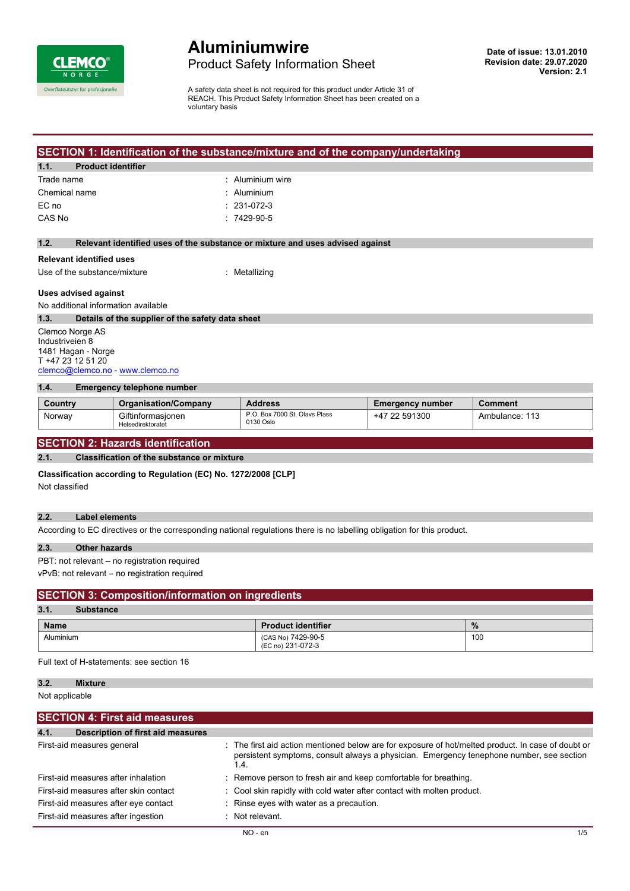

# **Aluminiumwire** Product Safety Information Sheet

A safety data sheet is not required for this product under Article 31 of REACH. This Product Safety Information Sheet has been created on a voluntary basis

#### **SECTION 1: Identification of the substance/mixture and of the company/undertaking**

#### **1.1. Product identifier**

| Trade name    | $\therefore$ Aluminium wire |
|---------------|-----------------------------|
| Chemical name | $:$ Aluminium               |
| EC no         | $: 231-072-3$               |
| CAS No        | $.7429 - 90 - 5$            |
|               |                             |

#### **1.2. Relevant identified uses of the substance or mixture and uses advised against**

### **Relevant identified uses**

Use of the substance/mixture : Metallizing

#### **Uses advised against**

No additional information available

#### **1.3. Details of the supplier of the safety data sheet**

Clemco Norge AS Industriveien 8 1481 Hagan - Norge T +47 23 12 51 20 [clemco@clemco.no](mailto:clemco@clemco.no) -<www.clemco.no>

#### **1.4. Emergency telephone number**

| Country | <b>Organisation/Company</b>            | <b>Address</b>                             | <b>Emergency number</b> | Comment        |
|---------|----------------------------------------|--------------------------------------------|-------------------------|----------------|
| Norway  | Giftinformasionen<br>Helsedirektoratet | P.O. Box 7000 St. Olavs Plass<br>0130 Oslo | 591300<br>-47           | Ambulance: 113 |

### **SECTION 2: Hazards identification**

#### **2.1. Classification of the substance or mixture**

**Classification according to Regulation (EC) No. 1272/2008 [CLP]**

Not classified

#### **2.2. Label elements**

According to EC directives or the corresponding national regulations there is no labelling obligation for this product.

#### **2.3. Other hazards**

PBT: not relevant – no registration required

vPvB: not relevant – no registration required

#### **SECTION 3: Composition/information on ingredients**

#### **3.1. Substance Name Product identifier %** Aluminium (CAS No) 7429-90-5 (EC no) 231-072-3 100

Full text of H-statements: see section 16

#### **3.2. Mixture**

Not applicable

| <b>SECTION 4: First aid measures</b>             |                                                                                                                                                                                                        |     |
|--------------------------------------------------|--------------------------------------------------------------------------------------------------------------------------------------------------------------------------------------------------------|-----|
| <b>Description of first aid measures</b><br>4.1. |                                                                                                                                                                                                        |     |
| First-aid measures general                       | : The first aid action mentioned below are for exposure of hot/melted product. In case of doubt or<br>persistent symptoms, consult always a physician. Emergency tenephone number, see section<br>1.4. |     |
| First-aid measures after inhalation              | : Remove person to fresh air and keep comfortable for breathing.                                                                                                                                       |     |
| First-aid measures after skin contact            | : Cool skin rapidly with cold water after contact with molten product.                                                                                                                                 |     |
| First-aid measures after eye contact             | : Rinse eyes with water as a precaution.                                                                                                                                                               |     |
| First-aid measures after ingestion               | $\therefore$ Not relevant.                                                                                                                                                                             |     |
|                                                  | $NO - en$                                                                                                                                                                                              | 1/5 |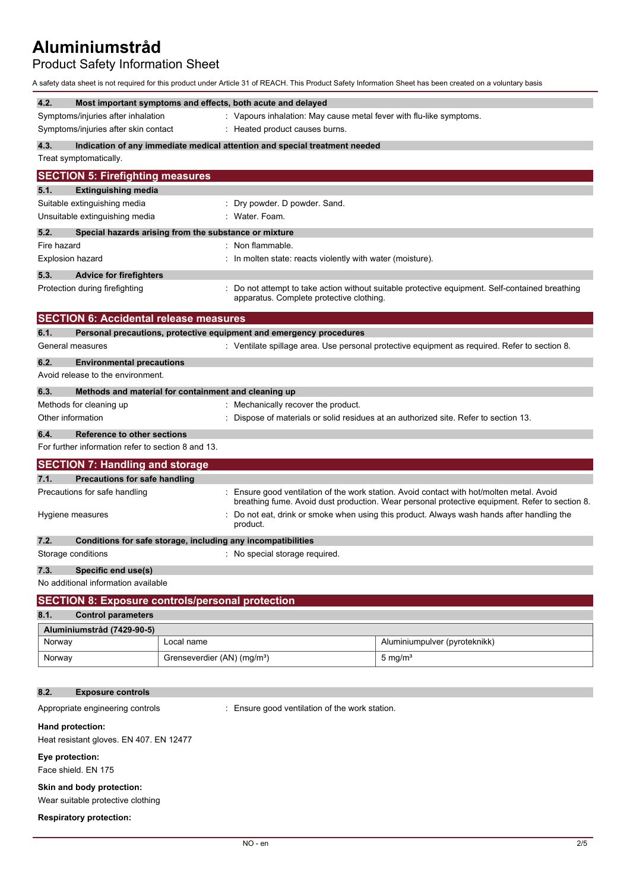# Product Safety Information Sheet

A safety data sheet is not required for this product under Article 31 of REACH. This Product Safety Information Sheet has been created on a voluntary basis

| 4.2.<br>Symptoms/injuries after inhalation<br>Symptoms/injuries after skin contact | Most important symptoms and effects, both acute and delayed  | : Vapours inhalation: May cause metal fever with flu-like symptoms.<br>: Heated product causes burns. |                                                                                                                                                                                           |
|------------------------------------------------------------------------------------|--------------------------------------------------------------|-------------------------------------------------------------------------------------------------------|-------------------------------------------------------------------------------------------------------------------------------------------------------------------------------------------|
| 4.3.<br>Treat symptomatically.                                                     |                                                              | Indication of any immediate medical attention and special treatment needed                            |                                                                                                                                                                                           |
| <b>SECTION 5: Firefighting measures</b>                                            |                                                              |                                                                                                       |                                                                                                                                                                                           |
| 5.1.<br><b>Extinguishing media</b>                                                 |                                                              |                                                                                                       |                                                                                                                                                                                           |
| Suitable extinguishing media                                                       |                                                              | Dry powder. D powder. Sand.                                                                           |                                                                                                                                                                                           |
| Unsuitable extinguishing media                                                     |                                                              | Water. Foam.                                                                                          |                                                                                                                                                                                           |
| 5.2.                                                                               | Special hazards arising from the substance or mixture        |                                                                                                       |                                                                                                                                                                                           |
| Fire hazard                                                                        |                                                              | Non flammable.                                                                                        |                                                                                                                                                                                           |
| <b>Explosion hazard</b>                                                            |                                                              | : In molten state: reacts violently with water (moisture).                                            |                                                                                                                                                                                           |
| 5.3.<br><b>Advice for firefighters</b><br>Protection during firefighting           |                                                              | apparatus. Complete protective clothing.                                                              | Do not attempt to take action without suitable protective equipment. Self-contained breathing                                                                                             |
|                                                                                    | <b>SECTION 6: Accidental release measures</b>                |                                                                                                       |                                                                                                                                                                                           |
| 6.1.                                                                               |                                                              | Personal precautions, protective equipment and emergency procedures                                   |                                                                                                                                                                                           |
| General measures                                                                   |                                                              |                                                                                                       | : Ventilate spillage area. Use personal protective equipment as required. Refer to section 8.                                                                                             |
| 6.2.<br><b>Environmental precautions</b><br>Avoid release to the environment.      |                                                              |                                                                                                       |                                                                                                                                                                                           |
| 6.3.                                                                               | Methods and material for containment and cleaning up         |                                                                                                       |                                                                                                                                                                                           |
| Methods for cleaning up<br>Other information                                       |                                                              | Mechanically recover the product.                                                                     | Dispose of materials or solid residues at an authorized site. Refer to section 13.                                                                                                        |
| 6.4.                                                                               | <b>Reference to other sections</b>                           |                                                                                                       |                                                                                                                                                                                           |
| For further information refer to section 8 and 13.                                 |                                                              |                                                                                                       |                                                                                                                                                                                           |
| <b>SECTION 7: Handling and storage</b>                                             |                                                              |                                                                                                       |                                                                                                                                                                                           |
| 7.1.                                                                               | <b>Precautions for safe handling</b>                         |                                                                                                       |                                                                                                                                                                                           |
|                                                                                    |                                                              |                                                                                                       |                                                                                                                                                                                           |
| Precautions for safe handling                                                      |                                                              |                                                                                                       | Ensure good ventilation of the work station. Avoid contact with hot/molten metal. Avoid<br>breathing fume. Avoid dust production. Wear personal protective equipment. Refer to section 8. |
| Hygiene measures                                                                   |                                                              | product.                                                                                              | Do not eat, drink or smoke when using this product. Always wash hands after handling the                                                                                                  |
| 7.2.                                                                               | Conditions for safe storage, including any incompatibilities |                                                                                                       |                                                                                                                                                                                           |
| Storage conditions                                                                 |                                                              | : No special storage required.                                                                        |                                                                                                                                                                                           |
| Specific end use(s)<br>7.3.                                                        |                                                              |                                                                                                       |                                                                                                                                                                                           |
| No additional information available                                                |                                                              |                                                                                                       |                                                                                                                                                                                           |
|                                                                                    | <b>SECTION 8: Exposure controls/personal protection</b>      |                                                                                                       |                                                                                                                                                                                           |
| <b>Control parameters</b><br>8.1.                                                  |                                                              |                                                                                                       |                                                                                                                                                                                           |
| Aluminiumstråd (7429-90-5)                                                         |                                                              |                                                                                                       |                                                                                                                                                                                           |
| Norway                                                                             | Local name                                                   |                                                                                                       | Aluminiumpulver (pyroteknikk)                                                                                                                                                             |
| Norway                                                                             | Grenseverdier (AN) (mg/m <sup>3</sup> )                      |                                                                                                       | $5 \text{ mg/m}^3$                                                                                                                                                                        |
|                                                                                    |                                                              |                                                                                                       |                                                                                                                                                                                           |
| 8.2.<br><b>Exposure controls</b>                                                   |                                                              |                                                                                                       |                                                                                                                                                                                           |
| Appropriate engineering controls                                                   |                                                              | : Ensure good ventilation of the work station.                                                        |                                                                                                                                                                                           |
| Hand protection:<br>Heat resistant gloves. EN 407. EN 12477                        |                                                              |                                                                                                       |                                                                                                                                                                                           |
| Eye protection:<br>Face shield. EN 175                                             |                                                              |                                                                                                       |                                                                                                                                                                                           |
|                                                                                    |                                                              |                                                                                                       |                                                                                                                                                                                           |
| Skin and body protection:<br>Wear suitable protective clothing                     |                                                              |                                                                                                       |                                                                                                                                                                                           |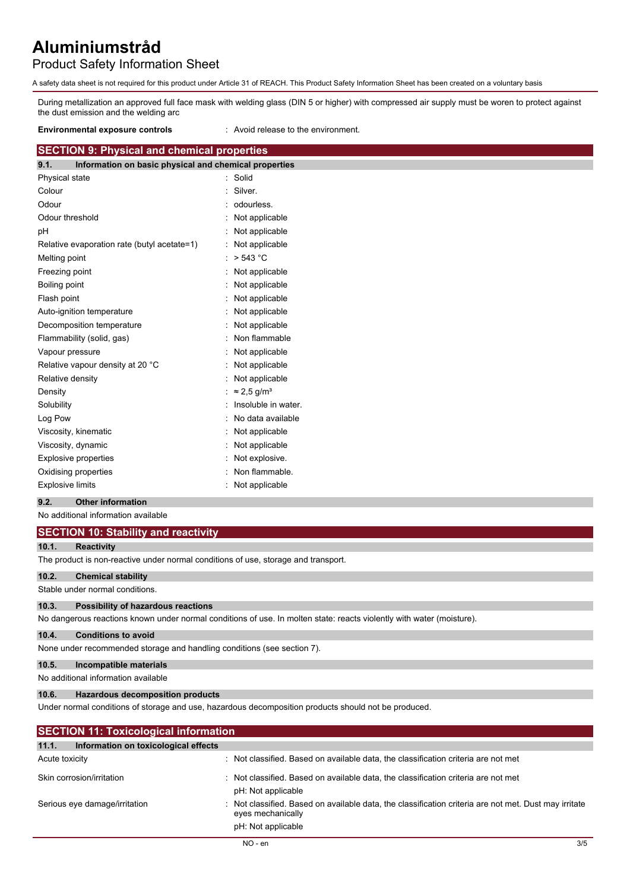## Product Safety Information Sheet

A safety data sheet is not required for this product under Article 31 of REACH. This Product Safety Information Sheet has been created on a voluntary basis

During metallization an approved full face mask with welding glass (DIN 5 or higher) with compressed air supply must be woren to protect against the dust emission and the welding arc

**Environmental exposure controls** : Avoid release to the environment.

### **SECTION 9: Physical and chemical properties**

| 9.1.                    | Information on basic physical and chemical properties |                                |
|-------------------------|-------------------------------------------------------|--------------------------------|
| Physical state          |                                                       | Solid                          |
| Colour                  |                                                       | Silver.                        |
| Odour                   |                                                       | odourless.                     |
| Odour threshold         |                                                       | Not applicable                 |
| рH                      |                                                       | Not applicable                 |
|                         | Relative evaporation rate (butyl acetate=1)           | Not applicable                 |
| Melting point           |                                                       | > 543 °C                       |
| Freezing point          |                                                       | Not applicable                 |
| Boiling point           |                                                       | Not applicable                 |
| Flash point             |                                                       | Not applicable                 |
|                         | Auto-ignition temperature                             | Not applicable                 |
|                         | Decomposition temperature                             | Not applicable                 |
|                         | Flammability (solid, gas)                             | Non flammable                  |
| Vapour pressure         |                                                       | Not applicable                 |
|                         | Relative vapour density at 20 °C                      | Not applicable                 |
| Relative density        |                                                       | Not applicable                 |
| Density                 |                                                       | $\approx$ 2.5 g/m <sup>3</sup> |
| Solubility              |                                                       | Insoluble in water.            |
| Log Pow                 |                                                       | No data available              |
|                         | Viscosity, kinematic                                  | Not applicable                 |
|                         | Viscosity, dynamic                                    | Not applicable                 |
|                         | <b>Explosive properties</b>                           | Not explosive.                 |
|                         | Oxidising properties                                  | Non flammable.                 |
| <b>Explosive limits</b> |                                                       | Not applicable                 |

#### **9.2. Other information**

No additional information available

| <b>SECTION 10: Stability and reactivity</b> |  |
|---------------------------------------------|--|
|---------------------------------------------|--|

#### **10.1. Reactivity**

The product is non-reactive under normal conditions of use, storage and transport.

#### **10.2. Chemical stability**

Stable under normal conditions.

#### **10.3. Possibility of hazardous reactions**

No dangerous reactions known under normal conditions of use. In molten state: reacts violently with water (moisture).

#### **10.4. Conditions to avoid**

None under recommended storage and handling conditions (see section 7).

#### **10.5. Incompatible materials**

No additional information available

#### **10.6. Hazardous decomposition products**

Under normal conditions of storage and use, hazardous decomposition products should not be produced.

| <b>SECTION 11: Toxicological information</b>  |                                                                                                                                                  |
|-----------------------------------------------|--------------------------------------------------------------------------------------------------------------------------------------------------|
| Information on toxicological effects<br>11.1. |                                                                                                                                                  |
| Acute toxicity                                | Not classified. Based on available data, the classification criteria are not met                                                                 |
| Skin corrosion/irritation                     | : Not classified. Based on available data, the classification criteria are not met<br>pH: Not applicable                                         |
| Serious eye damage/irritation                 | : Not classified. Based on available data, the classification criteria are not met. Dust may irritate<br>eyes mechanically<br>pH: Not applicable |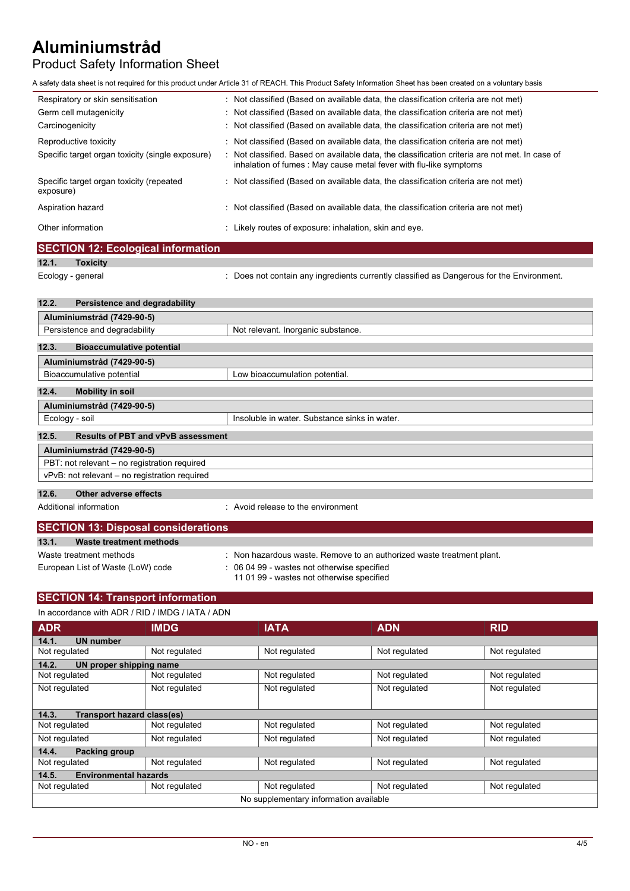# Product Safety Information Sheet

A safety data sheet is not required for this product under Article 31 of REACH. This Product Safety Information Sheet has been created on a voluntary basis

| Respiratory or skin sensitisation                     | : Not classified (Based on available data, the classification criteria are not met)                                                                                  |  |
|-------------------------------------------------------|----------------------------------------------------------------------------------------------------------------------------------------------------------------------|--|
| Germ cell mutagenicity                                | : Not classified (Based on available data, the classification criteria are not met)                                                                                  |  |
| Carcinogenicity                                       | : Not classified (Based on available data, the classification criteria are not met)                                                                                  |  |
| Reproductive toxicity                                 | $\therefore$ Not classified (Based on available data, the classification criteria are not met)                                                                       |  |
| Specific target organ toxicity (single exposure)      | : Not classified. Based on available data, the classification criteria are not met. In case of<br>inhalation of fumes : May cause metal fever with flu-like symptoms |  |
| Specific target organ toxicity (repeated<br>exposure) | : Not classified (Based on available data, the classification criteria are not met)                                                                                  |  |
| Aspiration hazard                                     | : Not classified (Based on available data, the classification criteria are not met)                                                                                  |  |
| Other information                                     | : Likely routes of exposure: inhalation, skin and eye.                                                                                                               |  |

|       | <b>SECTION 12: Ecological information</b> |                                                                                           |
|-------|-------------------------------------------|-------------------------------------------------------------------------------------------|
| 12.1. | <b>Toxicity</b>                           |                                                                                           |
|       | Ecology - general                         | : Does not contain any ingredients currently classified as Dangerous for the Environment. |
| 12.2. | Persistence and degradability             |                                                                                           |
|       | Aluminiumstråd (7429-90-5)                |                                                                                           |

| F1                                                 |                                               |
|----------------------------------------------------|-----------------------------------------------|
| Persistence and degradability                      | Not relevant. Inorganic substance.            |
|                                                    |                                               |
| 12.3.<br><b>Bioaccumulative potential</b>          |                                               |
| Aluminiumstråd (7429-90-5)                         |                                               |
| Bioaccumulative potential                          | Low bioaccumulation potential.                |
|                                                    |                                               |
| 12.4.<br><b>Mobility in soil</b>                   |                                               |
| Aluminiumstråd (7429-90-5)                         |                                               |
| Ecology - soil                                     | Insoluble in water. Substance sinks in water. |
|                                                    |                                               |
| 12.5.<br><b>Results of PBT and vPvB assessment</b> |                                               |
| Aluminiumstråd (7429-90-5)                         |                                               |
| PBT: not relevant - no registration required       |                                               |
| vPvB: not relevant - no registration required      |                                               |
|                                                    |                                               |
| Other adverse effects<br>12.6.                     |                                               |
| Additional information                             | : Avoid release to the environment            |
|                                                    |                                               |

| <b>SECTION 13: Disposal considerations</b> |                                                                                          |
|--------------------------------------------|------------------------------------------------------------------------------------------|
| 13.1.<br>Waste treatment methods           |                                                                                          |
| Waste treatment methods                    | : Non hazardous waste. Remove to an authorized waste treatment plant.                    |
| European List of Waste (LoW) code          | : 06 04 99 - wastes not otherwise specified<br>11 01 99 - wastes not otherwise specified |

#### **SECTION 14: Transport information** In accordance with ADR / RID / IMDG / IATA / ADN

| In accordance with ADR / RID / IMDG / IATA / ADN |               |                                        |               |               |  |
|--------------------------------------------------|---------------|----------------------------------------|---------------|---------------|--|
| <b>ADR</b>                                       | <b>IMDG</b>   | <b>IATA</b>                            | <b>ADN</b>    | <b>RID</b>    |  |
| 14.1.<br><b>UN number</b>                        |               |                                        |               |               |  |
| Not regulated                                    | Not regulated | Not regulated                          | Not regulated | Not regulated |  |
| 14.2.<br>UN proper shipping name                 |               |                                        |               |               |  |
| Not regulated                                    | Not regulated | Not regulated                          | Not regulated | Not regulated |  |
| Not regulated                                    | Not regulated | Not regulated                          | Not regulated | Not regulated |  |
|                                                  |               |                                        |               |               |  |
| <b>Transport hazard class(es)</b><br>14.3.       |               |                                        |               |               |  |
| Not regulated                                    | Not regulated | Not regulated                          | Not regulated | Not regulated |  |
| Not regulated                                    | Not regulated | Not regulated                          | Not regulated | Not regulated |  |
| <b>Packing group</b><br>14.4.                    |               |                                        |               |               |  |
| Not regulated                                    | Not regulated | Not regulated                          | Not regulated | Not regulated |  |
| <b>Environmental hazards</b><br>14.5.            |               |                                        |               |               |  |
| Not regulated                                    | Not regulated | Not regulated                          | Not regulated | Not regulated |  |
|                                                  |               | No supplementary information available |               |               |  |